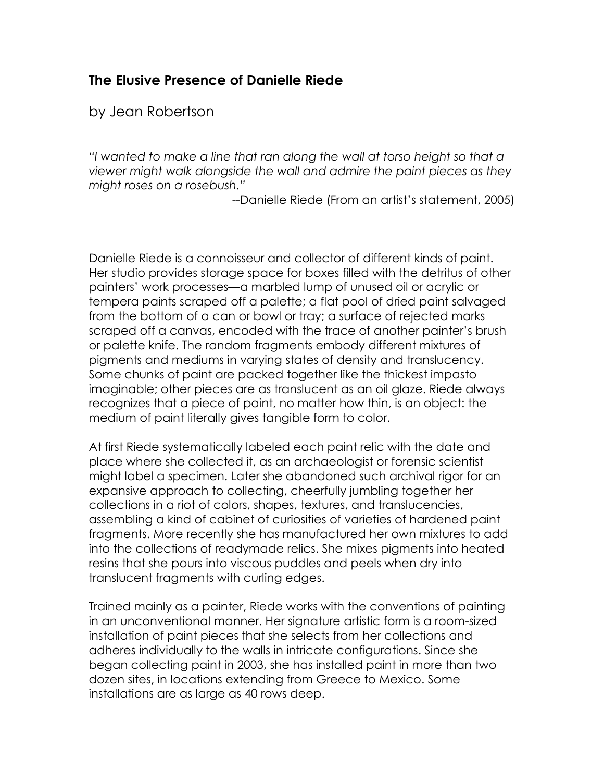## **The Elusive Presence of Danielle Riede**

by Jean Robertson

*"I wanted to make a line that ran along the wall at torso height so that a viewer might walk alongside the wall and admire the paint pieces as they might roses on a rosebush."*

--Danielle Riede (From an artist's statement, 2005)

Danielle Riede is a connoisseur and collector of different kinds of paint. Her studio provides storage space for boxes filled with the detritus of other painters' work processes—a marbled lump of unused oil or acrylic or tempera paints scraped off a palette; a flat pool of dried paint salvaged from the bottom of a can or bowl or tray; a surface of rejected marks scraped off a canvas, encoded with the trace of another painter's brush or palette knife. The random fragments embody different mixtures of pigments and mediums in varying states of density and translucency. Some chunks of paint are packed together like the thickest impasto imaginable; other pieces are as translucent as an oil glaze. Riede always recognizes that a piece of paint, no matter how thin, is an object: the medium of paint literally gives tangible form to color.

At first Riede systematically labeled each paint relic with the date and place where she collected it, as an archaeologist or forensic scientist might label a specimen. Later she abandoned such archival rigor for an expansive approach to collecting, cheerfully jumbling together her collections in a riot of colors, shapes, textures, and translucencies, assembling a kind of cabinet of curiosities of varieties of hardened paint fragments. More recently she has manufactured her own mixtures to add into the collections of readymade relics. She mixes pigments into heated resins that she pours into viscous puddles and peels when dry into translucent fragments with curling edges.

Trained mainly as a painter, Riede works with the conventions of painting in an unconventional manner. Her signature artistic form is a room-sized installation of paint pieces that she selects from her collections and adheres individually to the walls in intricate configurations. Since she began collecting paint in 2003, she has installed paint in more than two dozen sites, in locations extending from Greece to Mexico. Some installations are as large as 40 rows deep.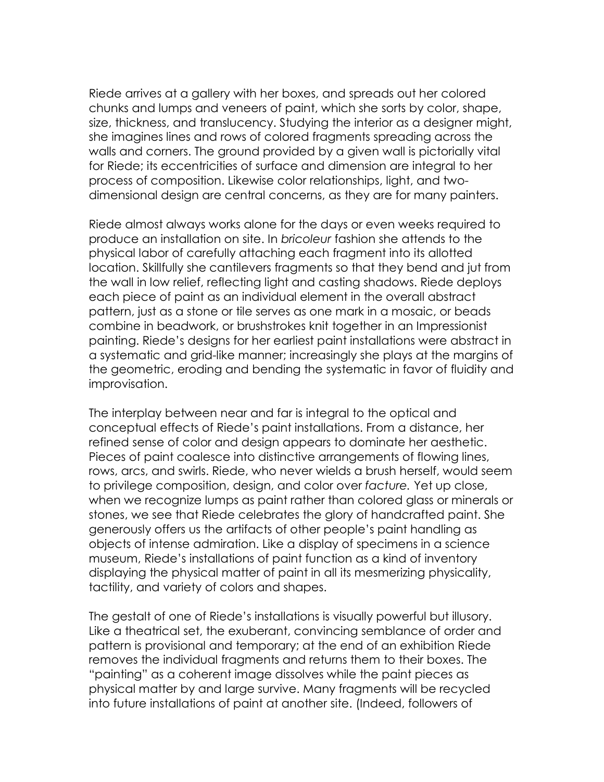Riede arrives at a gallery with her boxes, and spreads out her colored chunks and lumps and veneers of paint, which she sorts by color, shape, size, thickness, and translucency. Studying the interior as a designer might, she imagines lines and rows of colored fragments spreading across the walls and corners. The ground provided by a given wall is pictorially vital for Riede; its eccentricities of surface and dimension are integral to her process of composition. Likewise color relationships, light, and twodimensional design are central concerns, as they are for many painters.

Riede almost always works alone for the days or even weeks required to produce an installation on site. In *bricoleur* fashion she attends to the physical labor of carefully attaching each fragment into its allotted location. Skillfully she cantilevers fragments so that they bend and jut from the wall in low relief, reflecting light and casting shadows. Riede deploys each piece of paint as an individual element in the overall abstract pattern, just as a stone or tile serves as one mark in a mosaic, or beads combine in beadwork, or brushstrokes knit together in an Impressionist painting. Riede's designs for her earliest paint installations were abstract in a systematic and grid-like manner; increasingly she plays at the margins of the geometric, eroding and bending the systematic in favor of fluidity and improvisation.

The interplay between near and far is integral to the optical and conceptual effects of Riede's paint installations. From a distance, her refined sense of color and design appears to dominate her aesthetic. Pieces of paint coalesce into distinctive arrangements of flowing lines, rows, arcs, and swirls. Riede, who never wields a brush herself, would seem to privilege composition, design, and color over *facture.* Yet up close, when we recognize lumps as paint rather than colored glass or minerals or stones, we see that Riede celebrates the glory of handcrafted paint. She generously offers us the artifacts of other people's paint handling as objects of intense admiration. Like a display of specimens in a science museum, Riede's installations of paint function as a kind of inventory displaying the physical matter of paint in all its mesmerizing physicality, tactility, and variety of colors and shapes.

The gestalt of one of Riede's installations is visually powerful but illusory. Like a theatrical set, the exuberant, convincing semblance of order and pattern is provisional and temporary; at the end of an exhibition Riede removes the individual fragments and returns them to their boxes. The "painting" as a coherent image dissolves while the paint pieces as physical matter by and large survive. Many fragments will be recycled into future installations of paint at another site. (Indeed, followers of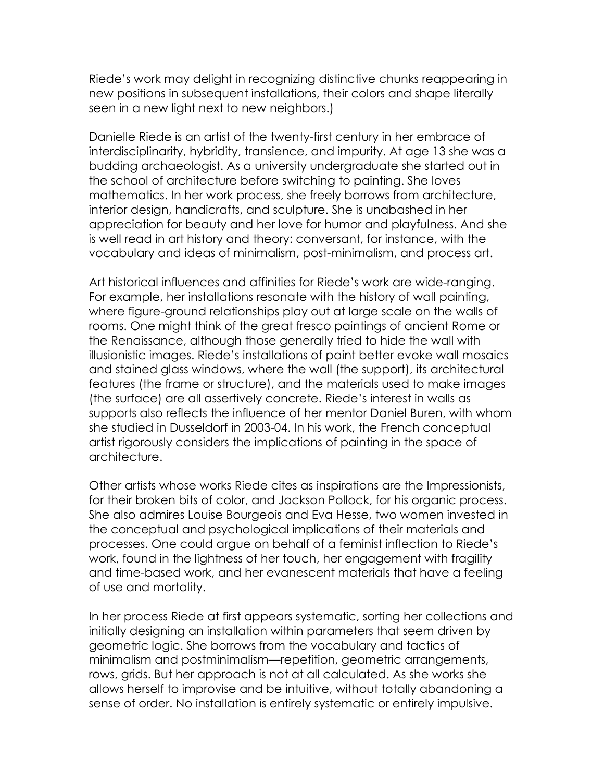Riede's work may delight in recognizing distinctive chunks reappearing in new positions in subsequent installations, their colors and shape literally seen in a new light next to new neighbors.)

Danielle Riede is an artist of the twenty-first century in her embrace of interdisciplinarity, hybridity, transience, and impurity. At age 13 she was a budding archaeologist. As a university undergraduate she started out in the school of architecture before switching to painting. She loves mathematics. In her work process, she freely borrows from architecture, interior design, handicrafts, and sculpture. She is unabashed in her appreciation for beauty and her love for humor and playfulness. And she is well read in art history and theory: conversant, for instance, with the vocabulary and ideas of minimalism, post-minimalism, and process art.

Art historical influences and affinities for Riede's work are wide-ranging. For example, her installations resonate with the history of wall painting, where figure-ground relationships play out at large scale on the walls of rooms. One might think of the great fresco paintings of ancient Rome or the Renaissance, although those generally tried to hide the wall with illusionistic images. Riede's installations of paint better evoke wall mosaics and stained glass windows, where the wall (the support), its architectural features (the frame or structure), and the materials used to make images (the surface) are all assertively concrete. Riede's interest in walls as supports also reflects the influence of her mentor Daniel Buren, with whom she studied in Dusseldorf in 2003-04. In his work, the French conceptual artist rigorously considers the implications of painting in the space of architecture.

Other artists whose works Riede cites as inspirations are the Impressionists, for their broken bits of color, and Jackson Pollock, for his organic process. She also admires Louise Bourgeois and Eva Hesse, two women invested in the conceptual and psychological implications of their materials and processes. One could argue on behalf of a feminist inflection to Riede's work, found in the lightness of her touch, her engagement with fragility and time-based work, and her evanescent materials that have a feeling of use and mortality.

In her process Riede at first appears systematic, sorting her collections and initially designing an installation within parameters that seem driven by geometric logic. She borrows from the vocabulary and tactics of minimalism and postminimalism—repetition, geometric arrangements, rows, grids. But her approach is not at all calculated. As she works she allows herself to improvise and be intuitive, without totally abandoning a sense of order. No installation is entirely systematic or entirely impulsive.